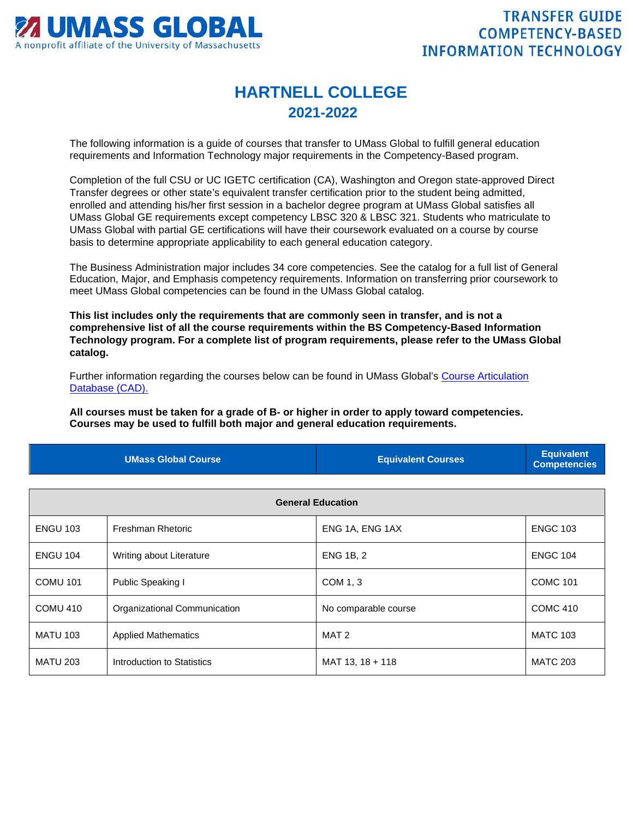

## **HARTNELL COLLEGE 2021-2022**

The following information is a guide of courses that transfer to UMass Global to fulfill general education requirements and Information Technology major requirements in the Competency-Based program.

Completion of the full CSU or UC IGETC certification (CA), Washington and Oregon state-approved Direct Transfer degrees or other state's equivalent transfer certification prior to the student being admitted, enrolled and attending his/her first session in a bachelor degree program at UMass Global satisfies all UMass Global GE requirements except competency LBSC 320 & LBSC 321. Students who matriculate to UMass Global with partial GE certifications will have their coursework evaluated on a course by course basis to determine appropriate applicability to each general education category.

The Business Administration major includes 34 core competencies. See the catalog for a full list of General Education, Major, and Emphasis competency requirements. Information on transferring prior coursework to meet UMass Global competencies can be found in the UMass Global catalog.

**This list includes only the requirements that are commonly seen in transfer, and is not a comprehensive list of all the course requirements within the BS Competency-Based Information Technology program. For a complete list of program requirements, please refer to the UMass Global catalog.**

Further information regarding the courses below can be found in UMass Global's [Course Articulation](http://services.umassglobal.edu/studentservices/TransferCredit/)  [Database \(CAD\).](http://services.umassglobal.edu/studentservices/TransferCredit/) 

**All courses must be taken for a grade of B- or higher in order to apply toward competencies. Courses may be used to fulfill both major and general education requirements.** 

| <b>UMass Global Course</b> | <b>Equivalent Courses</b> | <b>Equivalent</b><br>Competencies |
|----------------------------|---------------------------|-----------------------------------|
|                            |                           |                                   |

| <b>General Education</b> |                              |                      |                 |
|--------------------------|------------------------------|----------------------|-----------------|
| <b>ENGU 103</b>          | Freshman Rhetoric            | ENG 1A, ENG 1AX      | <b>ENGC 103</b> |
| <b>ENGU 104</b>          | Writing about Literature     | <b>ENG 1B, 2</b>     | <b>ENGC 104</b> |
| <b>COMU 101</b>          | Public Speaking I            | COM 1, 3             | <b>COMC 101</b> |
| COMU 410                 | Organizational Communication | No comparable course | <b>COMC 410</b> |
| <b>MATU 103</b>          | <b>Applied Mathematics</b>   | MAT 2                | <b>MATC 103</b> |
| <b>MATU 203</b>          | Introduction to Statistics   | MAT 13, 18 + 118     | <b>MATC 203</b> |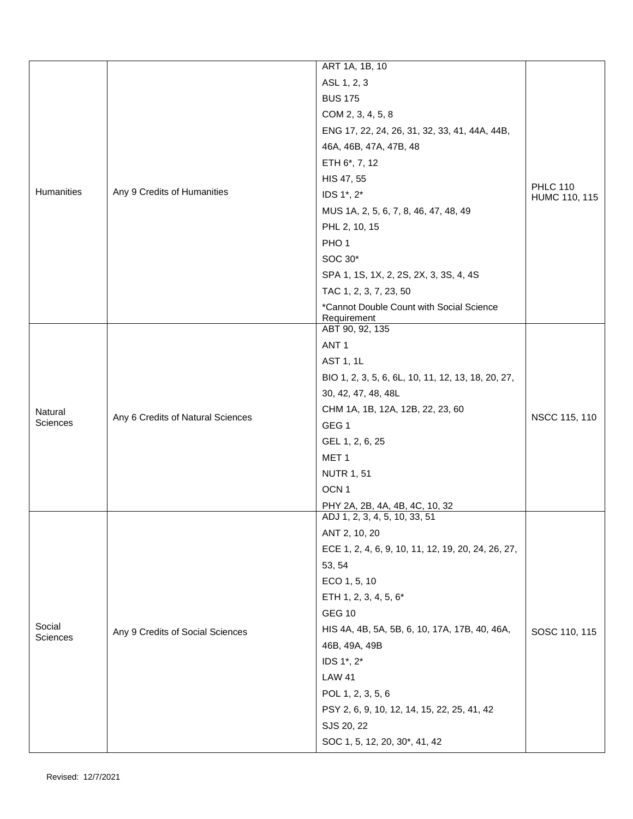|                    |                                   | ART 1A, 1B, 10                                          |                                  |
|--------------------|-----------------------------------|---------------------------------------------------------|----------------------------------|
|                    |                                   | ASL 1, 2, 3                                             |                                  |
|                    |                                   | <b>BUS 175</b>                                          | <b>PHLC 110</b><br>HUMC 110, 115 |
|                    |                                   | COM 2, 3, 4, 5, 8                                       |                                  |
|                    |                                   | ENG 17, 22, 24, 26, 31, 32, 33, 41, 44A, 44B,           |                                  |
|                    |                                   | 46A, 46B, 47A, 47B, 48                                  |                                  |
|                    |                                   | ETH 6*, 7, 12                                           |                                  |
|                    | Any 9 Credits of Humanities       | HIS 47, 55                                              |                                  |
| Humanities         |                                   | IDS 1*, 2*                                              |                                  |
|                    |                                   | MUS 1A, 2, 5, 6, 7, 8, 46, 47, 48, 49                   |                                  |
|                    |                                   | PHL 2, 10, 15                                           |                                  |
|                    |                                   | PHO <sub>1</sub>                                        |                                  |
|                    |                                   | SOC 30*                                                 |                                  |
|                    |                                   | SPA 1, 1S, 1X, 2, 2S, 2X, 3, 3S, 4, 4S                  |                                  |
|                    |                                   | TAC 1, 2, 3, 7, 23, 50                                  |                                  |
|                    |                                   | *Cannot Double Count with Social Science<br>Requirement |                                  |
|                    |                                   | ABT 90, 92, 135                                         |                                  |
|                    |                                   | ANT <sub>1</sub>                                        | NSCC 115, 110                    |
|                    |                                   | AST 1, 1L                                               |                                  |
|                    |                                   | BIO 1, 2, 3, 5, 6, 6L, 10, 11, 12, 13, 18, 20, 27,      |                                  |
|                    |                                   | 30, 42, 47, 48, 48L                                     |                                  |
| Natural            |                                   | CHM 1A, 1B, 12A, 12B, 22, 23, 60                        |                                  |
| <b>Sciences</b>    | Any 6 Credits of Natural Sciences | GEG <sub>1</sub>                                        |                                  |
|                    |                                   | GEL 1, 2, 6, 25                                         |                                  |
|                    |                                   | MET <sub>1</sub>                                        |                                  |
|                    |                                   | <b>NUTR 1, 51</b>                                       |                                  |
|                    |                                   | OCN <sub>1</sub>                                        |                                  |
|                    |                                   | PHY 2A, 2B, 4A, 4B, 4C, 10, 32                          |                                  |
|                    |                                   | ADJ 1, 2, 3, 4, 5, 10, 33, 51                           |                                  |
|                    |                                   | ANT 2, 10, 20                                           |                                  |
|                    | Any 9 Credits of Social Sciences  | ECE 1, 2, 4, 6, 9, 10, 11, 12, 19, 20, 24, 26, 27,      | SOSC 110, 115                    |
|                    |                                   | 53, 54                                                  |                                  |
|                    |                                   | ECO 1, 5, 10                                            |                                  |
|                    |                                   | ETH 1, 2, 3, 4, 5, 6*                                   |                                  |
|                    |                                   | <b>GEG 10</b>                                           |                                  |
| Social<br>Sciences |                                   | HIS 4A, 4B, 5A, 5B, 6, 10, 17A, 17B, 40, 46A,           |                                  |
|                    |                                   | 46B, 49A, 49B                                           |                                  |
|                    |                                   | IDS 1*, 2*                                              |                                  |
|                    |                                   | <b>LAW 41</b>                                           |                                  |
|                    |                                   | POL 1, 2, 3, 5, 6                                       |                                  |
|                    |                                   | PSY 2, 6, 9, 10, 12, 14, 15, 22, 25, 41, 42             |                                  |
|                    |                                   | SJS 20, 22                                              |                                  |
|                    |                                   | SOC 1, 5, 12, 20, 30*, 41, 42                           |                                  |